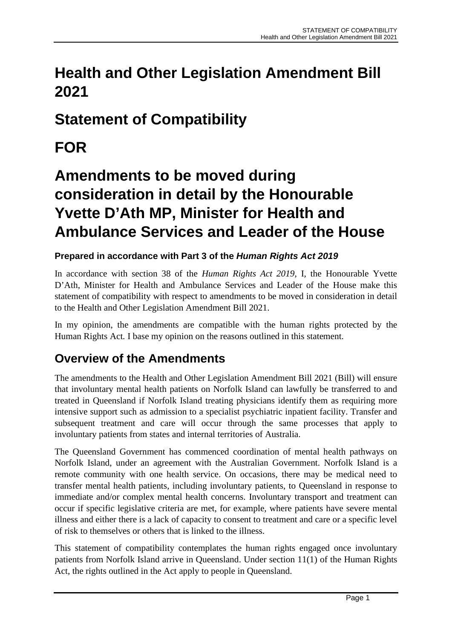## **Health and Other Legislation Amendment Bill 2021**

## **Statement of Compatibility**

## **FOR**

# **Amendments to be moved during consideration in detail by the Honourable Yvette D'Ath MP, Minister for Health and Ambulance Services and Leader of the House**

### **Prepared in accordance with Part 3 of the** *Human Rights Act 2019*

In accordance with section 38 of the *Human Rights Act 2019*, I, the Honourable Yvette D'Ath, Minister for Health and Ambulance Services and Leader of the House make this statement of compatibility with respect to amendments to be moved in consideration in detail to the Health and Other Legislation Amendment Bill 2021.

In my opinion, the amendments are compatible with the human rights protected by the Human Rights Act*.* I base my opinion on the reasons outlined in this statement.

### **Overview of the Amendments**

The amendments to the Health and Other Legislation Amendment Bill 2021 (Bill) will ensure that involuntary mental health patients on Norfolk Island can lawfully be transferred to and treated in Queensland if Norfolk Island treating physicians identify them as requiring more intensive support such as admission to a specialist psychiatric inpatient facility. Transfer and subsequent treatment and care will occur through the same processes that apply to involuntary patients from states and internal territories of Australia.

The Queensland Government has commenced coordination of mental health pathways on Norfolk Island, under an agreement with the Australian Government. Norfolk Island is a remote community with one health service. On occasions, there may be medical need to transfer mental health patients, including involuntary patients, to Queensland in response to immediate and/or complex mental health concerns. Involuntary transport and treatment can occur if specific legislative criteria are met, for example, where patients have severe mental illness and either there is a lack of capacity to consent to treatment and care or a specific level of risk to themselves or others that is linked to the illness.

This statement of compatibility contemplates the human rights engaged once involuntary patients from Norfolk Island arrive in Queensland. Under section 11(1) of the Human Rights Act, the rights outlined in the Act apply to people in Queensland.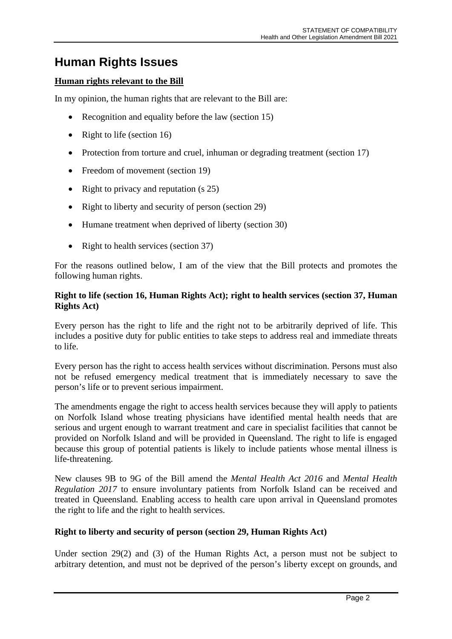### **Human Rights Issues**

#### **Human rights relevant to the Bill**

In my opinion, the human rights that are relevant to the Bill are:

- Recognition and equality before the law (section 15)
- Right to life (section 16)
- Protection from torture and cruel, inhuman or degrading treatment (section 17)
- Freedom of movement (section 19)
- Right to privacy and reputation (s 25)
- Right to liberty and security of person (section 29)
- Humane treatment when deprived of liberty (section 30)
- Right to health services (section 37)

For the reasons outlined below, I am of the view that the Bill protects and promotes the following human rights.

#### **Right to life (section 16, Human Rights Act); right to health services (section 37, Human Rights Act)**

Every person has the right to life and the right not to be arbitrarily deprived of life. This includes a positive duty for public entities to take steps to address real and immediate threats to life.

Every person has the right to access health services without discrimination. Persons must also not be refused emergency medical treatment that is immediately necessary to save the person's life or to prevent serious impairment.

The amendments engage the right to access health services because they will apply to patients on Norfolk Island whose treating physicians have identified mental health needs that are serious and urgent enough to warrant treatment and care in specialist facilities that cannot be provided on Norfolk Island and will be provided in Queensland. The right to life is engaged because this group of potential patients is likely to include patients whose mental illness is life-threatening.

New clauses 9B to 9G of the Bill amend the *Mental Health Act 2016* and *Mental Health Regulation 2017* to ensure involuntary patients from Norfolk Island can be received and treated in Queensland. Enabling access to health care upon arrival in Queensland promotes the right to life and the right to health services.

#### **Right to liberty and security of person (section 29, Human Rights Act)**

Under section 29(2) and (3) of the Human Rights Act, a person must not be subject to arbitrary detention, and must not be deprived of the person's liberty except on grounds, and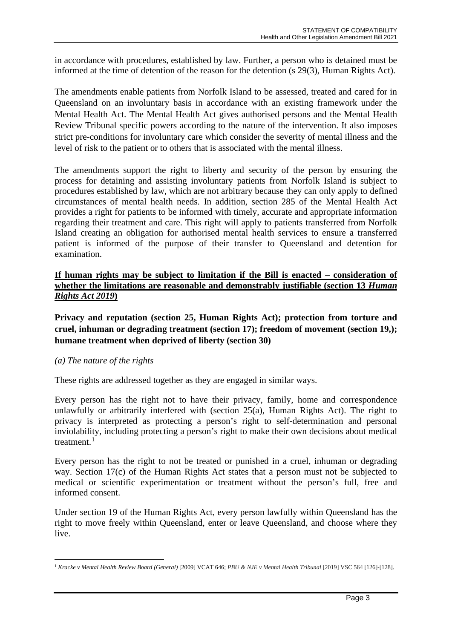in accordance with procedures, established by law. Further, a person who is detained must be informed at the time of detention of the reason for the detention (s 29(3), Human Rights Act).

The amendments enable patients from Norfolk Island to be assessed, treated and cared for in Queensland on an involuntary basis in accordance with an existing framework under the Mental Health Act. The Mental Health Act gives authorised persons and the Mental Health Review Tribunal specific powers according to the nature of the intervention. It also imposes strict pre-conditions for involuntary care which consider the severity of mental illness and the level of risk to the patient or to others that is associated with the mental illness.

The amendments support the right to liberty and security of the person by ensuring the process for detaining and assisting involuntary patients from Norfolk Island is subject to procedures established by law, which are not arbitrary because they can only apply to defined circumstances of mental health needs. In addition, section 285 of the Mental Health Act provides a right for patients to be informed with timely, accurate and appropriate information regarding their treatment and care. This right will apply to patients transferred from Norfolk Island creating an obligation for authorised mental health services to ensure a transferred patient is informed of the purpose of their transfer to Queensland and detention for examination.

#### **If human rights may be subject to limitation if the Bill is enacted – consideration of whether the limitations are reasonable and demonstrably justifiable (section 13** *Human Rights Act 2019***)**

**Privacy and reputation (section 25, Human Rights Act); protection from torture and cruel, inhuman or degrading treatment (section 17); freedom of movement (section 19,); humane treatment when deprived of liberty (section 30)**

#### *(a) The nature of the rights*

These rights are addressed together as they are engaged in similar ways.

Every person has the right not to have their privacy, family, home and correspondence unlawfully or arbitrarily interfered with (section 25(a), Human Rights Act). The right to privacy is interpreted as protecting a person's right to self-determination and personal inviolability, including protecting a person's right to make their own decisions about medical treatment. $1$ 

Every person has the right to not be treated or punished in a cruel, inhuman or degrading way. Section 17(c) of the Human Rights Act states that a person must not be subjected to medical or scientific experimentation or treatment without the person's full, free and informed consent.

Under section 19 of the Human Rights Act, every person lawfully within Queensland has the right to move freely within Queensland, enter or leave Queensland, and choose where they live.

<span id="page-2-0"></span><sup>1</sup> *Kracke v Mental Health Review Board (General)* [2009] VCAT 646; *PBU & NJE v Mental Health Tribunal* [2019] VSC 564 [126]-[128].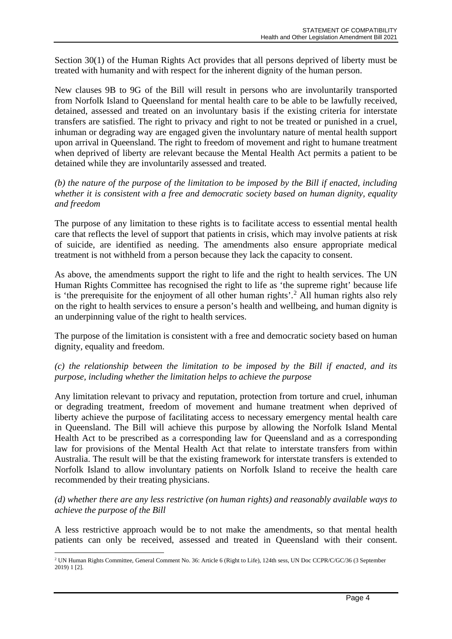Section 30(1) of the Human Rights Act provides that all persons deprived of liberty must be treated with humanity and with respect for the inherent dignity of the human person.

New clauses 9B to 9G of the Bill will result in persons who are involuntarily transported from Norfolk Island to Queensland for mental health care to be able to be lawfully received, detained, assessed and treated on an involuntary basis if the existing criteria for interstate transfers are satisfied. The right to privacy and right to not be treated or punished in a cruel, inhuman or degrading way are engaged given the involuntary nature of mental health support upon arrival in Queensland. The right to freedom of movement and right to humane treatment when deprived of liberty are relevant because the Mental Health Act permits a patient to be detained while they are involuntarily assessed and treated.

*(b) the nature of the purpose of the limitation to be imposed by the Bill if enacted, including whether it is consistent with a free and democratic society based on human dignity, equality and freedom*

The purpose of any limitation to these rights is to facilitate access to essential mental health care that reflects the level of support that patients in crisis, which may involve patients at risk of suicide, are identified as needing. The amendments also ensure appropriate medical treatment is not withheld from a person because they lack the capacity to consent.

As above, the amendments support the right to life and the right to health services. The UN Human Rights Committee has recognised the right to life as 'the supreme right' because life is 'the prerequisite for the enjoyment of all other human rights'. [2](#page-3-0) All human rights also rely on the right to health services to ensure a person's health and wellbeing, and human dignity is an underpinning value of the right to health services.

The purpose of the limitation is consistent with a free and democratic society based on human dignity, equality and freedom.

#### *(c) the relationship between the limitation to be imposed by the Bill if enacted, and its purpose, including whether the limitation helps to achieve the purpose*

Any limitation relevant to privacy and reputation, protection from torture and cruel, inhuman or degrading treatment, freedom of movement and humane treatment when deprived of liberty achieve the purpose of facilitating access to necessary emergency mental health care in Queensland. The Bill will achieve this purpose by allowing the Norfolk Island Mental Health Act to be prescribed as a corresponding law for Queensland and as a corresponding law for provisions of the Mental Health Act that relate to interstate transfers from within Australia. The result will be that the existing framework for interstate transfers is extended to Norfolk Island to allow involuntary patients on Norfolk Island to receive the health care recommended by their treating physicians.

#### *(d) whether there are any less restrictive (on human rights) and reasonably available ways to achieve the purpose of the Bill*

A less restrictive approach would be to not make the amendments, so that mental health patients can only be received, assessed and treated in Queensland with their consent.

<span id="page-3-0"></span><sup>2</sup> UN Human Rights Committee, General Comment No. 36: Article 6 (Right to Life), 124th sess, UN Doc CCPR/C/GC/36 (3 September 2019) 1 [2].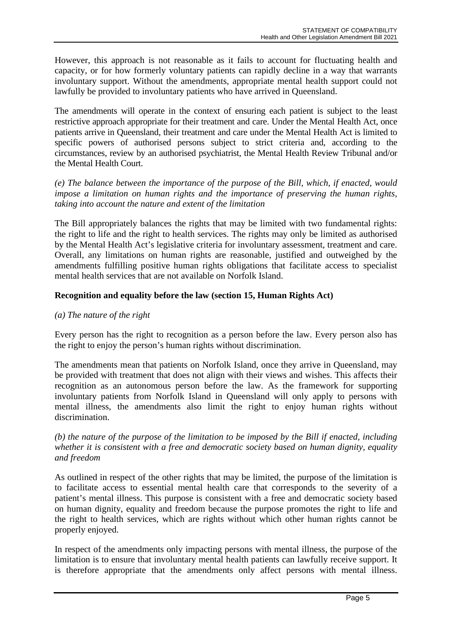However, this approach is not reasonable as it fails to account for fluctuating health and capacity, or for how formerly voluntary patients can rapidly decline in a way that warrants involuntary support. Without the amendments, appropriate mental health support could not lawfully be provided to involuntary patients who have arrived in Queensland.

The amendments will operate in the context of ensuring each patient is subject to the least restrictive approach appropriate for their treatment and care. Under the Mental Health Act, once patients arrive in Queensland, their treatment and care under the Mental Health Act is limited to specific powers of authorised persons subject to strict criteria and, according to the circumstances, review by an authorised psychiatrist, the Mental Health Review Tribunal and/or the Mental Health Court.

*(e) The balance between the importance of the purpose of the Bill, which, if enacted, would impose a limitation on human rights and the importance of preserving the human rights, taking into account the nature and extent of the limitation*

The Bill appropriately balances the rights that may be limited with two fundamental rights: the right to life and the right to health services. The rights may only be limited as authorised by the Mental Health Act's legislative criteria for involuntary assessment, treatment and care. Overall, any limitations on human rights are reasonable, justified and outweighed by the amendments fulfilling positive human rights obligations that facilitate access to specialist mental health services that are not available on Norfolk Island.

#### **Recognition and equality before the law (section 15, Human Rights Act)**

#### *(a) The nature of the right*

Every person has the right to recognition as a person before the law. Every person also has the right to enjoy the person's human rights without discrimination.

The amendments mean that patients on Norfolk Island, once they arrive in Queensland, may be provided with treatment that does not align with their views and wishes. This affects their recognition as an autonomous person before the law. As the framework for supporting involuntary patients from Norfolk Island in Queensland will only apply to persons with mental illness, the amendments also limit the right to enjoy human rights without discrimination.

*(b) the nature of the purpose of the limitation to be imposed by the Bill if enacted, including whether it is consistent with a free and democratic society based on human dignity, equality and freedom*

As outlined in respect of the other rights that may be limited, the purpose of the limitation is to facilitate access to essential mental health care that corresponds to the severity of a patient's mental illness. This purpose is consistent with a free and democratic society based on human dignity, equality and freedom because the purpose promotes the right to life and the right to health services, which are rights without which other human rights cannot be properly enjoyed.

In respect of the amendments only impacting persons with mental illness, the purpose of the limitation is to ensure that involuntary mental health patients can lawfully receive support. It is therefore appropriate that the amendments only affect persons with mental illness.